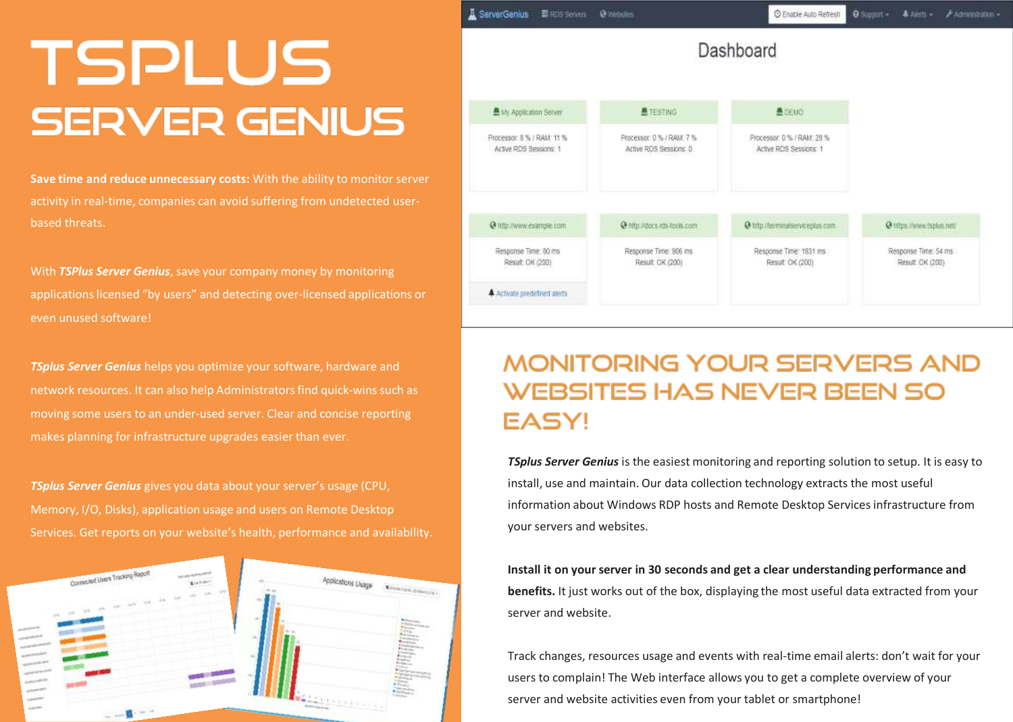## **TSPLUS SERVER GENIUS**

**Save time and reduce unnecessary costs:** With the ability to monitor server activity in real-time, companies can avoid suffering from undetected userbased threats.

With *TSPlus Server Genius*, save your company money by monitoring applications licensed "by users" and detecting over-licensed applications or even unused software!

*TSplus Server Genius* helps you optimize your software, hardware and network resources. It can also help Administratorsfind quick-wins such as moving some users to an under-used server. Clear and concise reporting makes planning for infrastructure upgrades easier than ever.

*TSplus Server Genius* gives you data about your server's usage (CPU, Memory, I/O, Disks), application usage and users on Remote Desktop Services. Get reports on your website's health, performance and availability.



| ServerGenius                                         | RDS Secrets | @ Webster                                          | C Enable Auto Refresh                                | <b>O</b> Support + | <b>A</b> Aletti -                        | <b>F Administration</b> |
|------------------------------------------------------|-------------|----------------------------------------------------|------------------------------------------------------|--------------------|------------------------------------------|-------------------------|
|                                                      |             |                                                    | Dashboard                                            |                    |                                          |                         |
| 鱼My Application Server                               |             | <b>ATESTING</b>                                    | <b>A</b> DEMO                                        |                    |                                          |                         |
| Processor: 8 % / RAM: 11 %<br>Active RDS Sessions: 1 |             | Processor: 0.% / RAM: 7%<br>Active RDS Sessions: 0 | Processor: 0 % / RAM: 28 %<br>Active RDS Sessions: 1 |                    |                                          |                         |
| @ http://www.example.com                             |             | @ http://docs.rds-tools.com                        | @ http://terminalserviceplus.com                     |                    | @ https://www.tspass.net/                |                         |
| Response Time: 80 ms<br>Result OK (200)              |             | Response Time: 906 ms.<br>Result. OK (200)         | Response Time: 1831 ms<br>Result: OK (200)           |                    | Response Time: 54 ms<br>Result: OK (200) |                         |
| 4 Activate predefined alerts                         |             |                                                    |                                                      |                    |                                          |                         |

## **MONITORING YOUR SERVERS AND WEBSITES HAS NEVER BEEN SO EASY!**

*TSplus Server Genius* is the easiest monitoring and reporting solution to setup. It is easy to install, use and maintain. Our data collection technology extracts the most useful information about Windows RDP hosts and Remote Desktop Services infrastructure from your servers and websites.

**Install it on yourserver in 30 seconds and get a clear understanding performance and benefits.** It just works out of the box, displaying the most useful data extracted from your server and website.

Track changes, resources usage and events with real-time email alerts: don't wait for your users to complain! The Web interface allows you to get a complete overview of your server and website activities even from your tablet or smartphone!